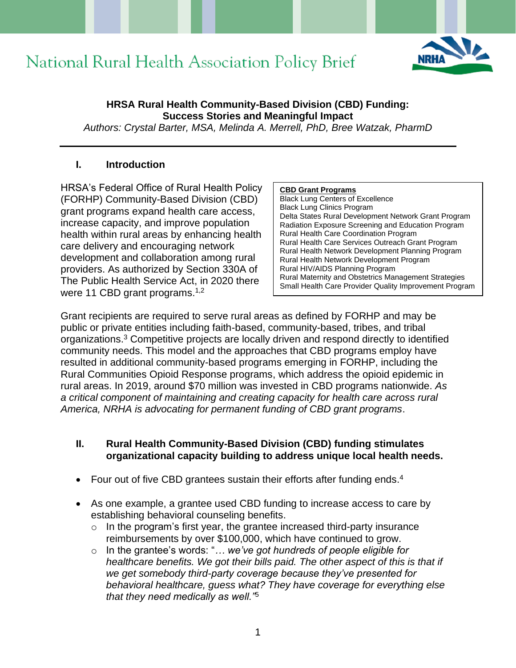

#### **HRSA Rural Health Community-Based Division (CBD) Funding: Success Stories and Meaningful Impact**

*Authors: Crystal Barter, MSA, Melinda A. Merrell, PhD, Bree Watzak, PharmD*

#### **I. Introduction**

HRSA's Federal Office of Rural Health Policy (FORHP) Community-Based Division (CBD) grant programs expand health care access, increase capacity, and improve population health within rural areas by enhancing health care delivery and encouraging network development and collaboration among rural providers. As authorized by Section 330A of The Public Health Service Act, in 2020 there were 11 CBD grant programs.<sup>1,2</sup>

#### **CBD Grant Programs**

Black Lung Centers of Excellence Black Lung Clinics Program Delta States Rural Development Network Grant Program Radiation Exposure Screening and Education Program Rural Health Care Coordination Program Rural Health Care Services Outreach Grant Program Rural Health Network Development Planning Program Rural Health Network Development Program Rural HIV/AIDS Planning Program Rural Maternity and Obstetrics Management Strategies Small Health Care Provider Quality Improvement Program

Grant recipients are required to serve rural areas as defined by FORHP and may be public or private entities including faith-based, community-based, tribes, and tribal organizations.<sup>3</sup> Competitive projects are locally driven and respond directly to identified community needs. This model and the approaches that CBD programs employ have resulted in additional community-based programs emerging in FORHP, including the Rural Communities Opioid Response programs, which address the opioid epidemic in rural areas. In 2019, around \$70 million was invested in CBD programs nationwide. *As a critical component of maintaining and creating capacity for health care across rural America, NRHA is advocating for permanent funding of CBD grant programs*.

#### **II. Rural Health Community-Based Division (CBD) funding stimulates organizational capacity building to address unique local health needs.**

- Four out of five CBD grantees sustain their efforts after funding ends.<sup>4</sup>
- As one example, a grantee used CBD funding to increase access to care by establishing behavioral counseling benefits.
	- $\circ$  In the program's first year, the grantee increased third-party insurance reimbursements by over \$100,000, which have continued to grow.
	- o In the grantee's words: "*… we've got hundreds of people eligible for healthcare benefits. We got their bills paid. The other aspect of this is that if we get somebody third-party coverage because they've presented for behavioral healthcare, guess what? They have coverage for everything else that they need medically as well."*<sup>5</sup>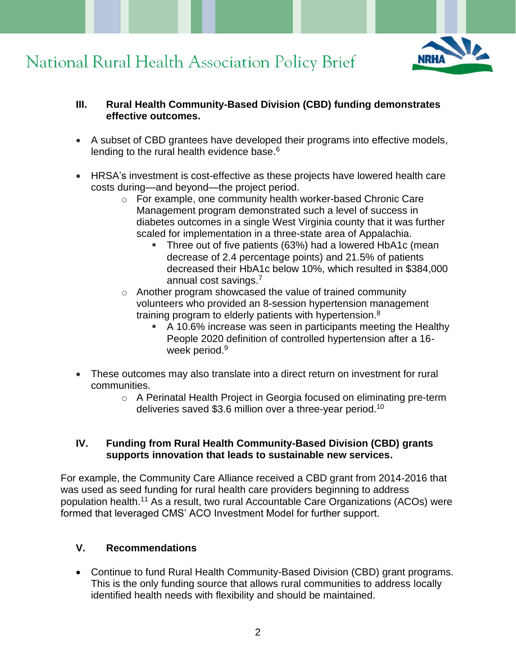

### **III. Rural Health Community-Based Division (CBD) funding demonstrates effective outcomes.**

- A subset of CBD grantees have developed their programs into effective models, lending to the rural health evidence base.<sup>6</sup>
- HRSA's investment is cost-effective as these projects have lowered health care costs during—and beyond—the project period.
	- o For example, one community health worker-based Chronic Care Management program demonstrated such a level of success in diabetes outcomes in a single West Virginia county that it was further scaled for implementation in a three-state area of Appalachia.
		- Three out of five patients (63%) had a lowered HbA1c (mean decrease of 2.4 percentage points) and 21.5% of patients decreased their HbA1c below 10%, which resulted in \$384,000 annual cost savings.<sup>7</sup>
	- o Another program showcased the value of trained community volunteers who provided an 8-session hypertension management training program to elderly patients with hypertension.<sup>8</sup>
		- A 10.6% increase was seen in participants meeting the Healthy People 2020 definition of controlled hypertension after a 16 week period. 9
- These outcomes may also translate into a direct return on investment for rural communities.
	- $\circ$  A Perinatal Health Project in Georgia focused on eliminating pre-term deliveries saved \$3.6 million over a three-year period.<sup>10</sup>

### **IV. Funding from Rural Health Community-Based Division (CBD) grants supports innovation that leads to sustainable new services.**

For example, the Community Care Alliance received a CBD grant from 2014-2016 that was used as seed funding for rural health care providers beginning to address population health.<sup>11</sup> As a result, two rural Accountable Care Organizations (ACOs) were formed that leveraged CMS' ACO Investment Model for further support.

### **V. Recommendations**

• Continue to fund Rural Health Community-Based Division (CBD) grant programs. This is the only funding source that allows rural communities to address locally identified health needs with flexibility and should be maintained.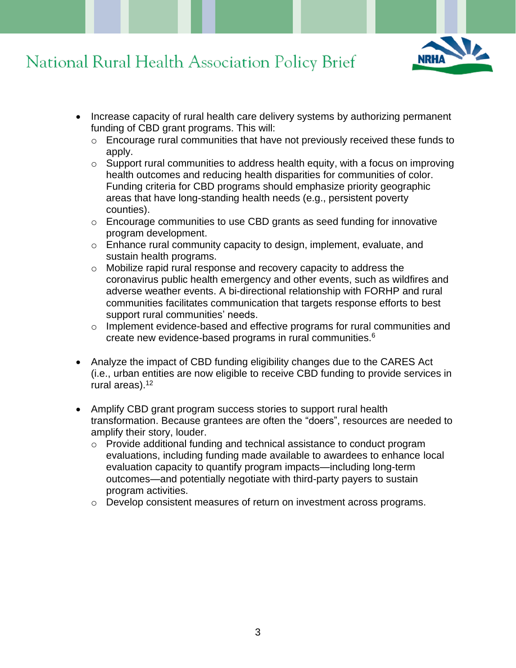

- Increase capacity of rural health care delivery systems by authorizing permanent funding of CBD grant programs. This will:
	- o Encourage rural communities that have not previously received these funds to apply.
	- $\circ$  Support rural communities to address health equity, with a focus on improving health outcomes and reducing health disparities for communities of color. Funding criteria for CBD programs should emphasize priority geographic areas that have long-standing health needs (e.g., persistent poverty counties).
	- $\circ$  Encourage communities to use CBD grants as seed funding for innovative program development.
	- o Enhance rural community capacity to design, implement, evaluate, and sustain health programs.
	- o Mobilize rapid rural response and recovery capacity to address the coronavirus public health emergency and other events, such as wildfires and adverse weather events. A bi-directional relationship with FORHP and rural communities facilitates communication that targets response efforts to best support rural communities' needs.
	- o Implement evidence-based and effective programs for rural communities and create new evidence-based programs in rural communities.<sup>6</sup>
- Analyze the impact of CBD funding eligibility changes due to the CARES Act (i.e., urban entities are now eligible to receive CBD funding to provide services in rural areas).<sup>12</sup>
- Amplify CBD grant program success stories to support rural health transformation. Because grantees are often the "doers", resources are needed to amplify their story, louder.
	- o Provide additional funding and technical assistance to conduct program evaluations, including funding made available to awardees to enhance local evaluation capacity to quantify program impacts—including long-term outcomes—and potentially negotiate with third-party payers to sustain program activities.
	- o Develop consistent measures of return on investment across programs.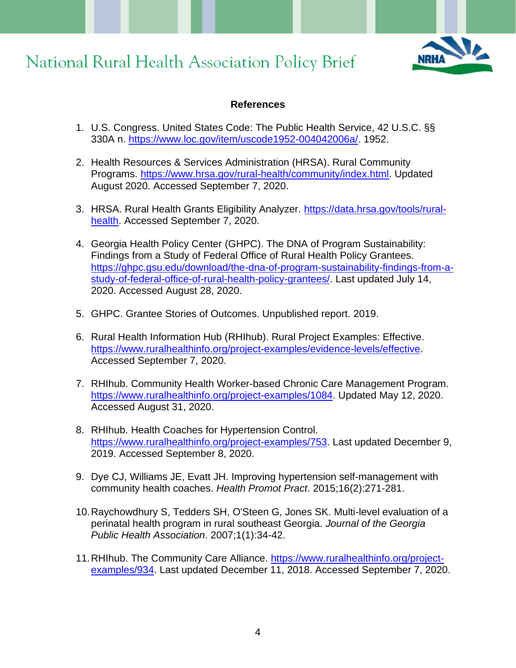

### **References**

- 1. U.S. Congress. United States Code: The Public Health Service, 42 U.S.C. §§ 330A n. [https://www.loc.gov/item/uscode1952-004042006a/.](https://urldefense.com/v3/__https:/protect2.fireeye.com/v1/url?k=558eac87-0a15946e-558ee246-86e0458f6361-e7fbb3352151e6c5&q=1&e=0260a6e9-a710-420d-9020-ec9c82c8fd5c&u=https*3A*2F*2Furldefense.com*2Fv3*2F__https*3A*2F*2Fnam12.safelinks.protection.outlook.com*2F*3Furl*3Dhttps*2A3A*2A2F*2A2Fwww.loc.gov*2A2Fitem*2A2Fuscode1952-004042006a*2A2F*26data*3D04*2A7C01*2A7CGBoscan*2A40nrharural.org*2A7C994e4bfd077b4fd51f9408d8b1a031f8*2A7Cfc72794673ba4e94a4ef930ba4ca4c64*2A7C1*2A7C0*2A7C637454648889677351*2A7CUnknown*2A7CTWFpbGZsb3d8eyJWIjoiMC4wLjAwMDAiLCJQIjoiV2luMzIiLCJBTiI6Ik1haWwiLCJXVCI6Mn0*2A3D*2A7C1000*26sdata*3D5Tv05HtbVMmUMWecy7odgicy87koIY8ME15iNSKKabA*2A3D*26reserved*3D0__*3BJSUlJSUlJSUlJSUlJSUlJSUlJQ*21*21KwNVnqRv*21QKgDCi2G_t0rzgsk-PTSAJm6miQ0RZ23EgqS6RvB1QfBVPrJpT48xxcQb1MzA4Uc*24__;JSUlJSUlJSUlJSUlJSUlJSUlJSUlJSUlJSUlJSUlJSUlJSUlJSUlJSU!!KwNVnqRv!Rl0Gz6debnAIXoKFXfaG-Kb6J71iehJf-Irn1a90iZ7GgjpSCoMJXaKS4nULhJk4$) 1952.
- 2. Health Resources & Services Administration (HRSA). Rural Community Programs. [https://www.hrsa.gov/rural-health/community/index.html.](https://www.hrsa.gov/rural-health/community/index.html) Updated August 2020. Accessed September 7, 2020.
- 3. HRSA. Rural Health Grants Eligibility Analyzer. [https://data.hrsa.gov/tools/rural](https://data.hrsa.gov/tools/rural-health)[health.](https://data.hrsa.gov/tools/rural-health) Accessed September 7, 2020.
- 4. Georgia Health Policy Center (GHPC). The DNA of Program Sustainability: Findings from a Study of Federal Office of Rural Health Policy Grantees. [https://ghpc.gsu.edu/download/the-dna-of-program-sustainability-findings-from-a](https://ghpc.gsu.edu/download/the-dna-of-program-sustainability-findings-from-a-study-of-federal-office-of-rural-health-policy-grantees/)[study-of-federal-office-of-rural-health-policy-grantees/.](https://ghpc.gsu.edu/download/the-dna-of-program-sustainability-findings-from-a-study-of-federal-office-of-rural-health-policy-grantees/) Last updated July 14, 2020. Accessed August 28, 2020.
- 5. GHPC. Grantee Stories of Outcomes. Unpublished report. 2019.
- 6. Rural Health Information Hub (RHIhub). Rural Project Examples: Effective. [https://www.ruralhealthinfo.org/project-examples/evidence-levels/effective.](https://www.ruralhealthinfo.org/project-examples/evidence-levels/effective) Accessed September 7, 2020.
- 7. RHIhub. Community Health Worker-based Chronic Care Management Program. [https://www.ruralhealthinfo.org/project-examples/1084.](https://www.ruralhealthinfo.org/project-examples/1084) Updated May 12, 2020. Accessed August 31, 2020.
- 8. RHIhub. Health Coaches for Hypertension Control. [https://www.ruralhealthinfo.org/project-examples/753.](https://www.ruralhealthinfo.org/project-examples/753) Last updated December 9, 2019. Accessed September 8, 2020.
- 9. Dye CJ, Williams JE, Evatt JH. Improving hypertension self-management with community health coaches. *Health Promot Pract*. 2015;16(2):271-281.
- 10.Raychowdhury S, Tedders SH, O'Steen G, Jones SK. Multi-level evaluation of a perinatal health program in rural southeast Georgia. *Journal of the Georgia Public Health Association*. 2007;1(1):34-42.
- 11.RHIhub. The Community Care Alliance. [https://www.ruralhealthinfo.org/project](https://www.ruralhealthinfo.org/project-examples/934)[examples/934.](https://www.ruralhealthinfo.org/project-examples/934) Last updated December 11, 2018. Accessed September 7, 2020.